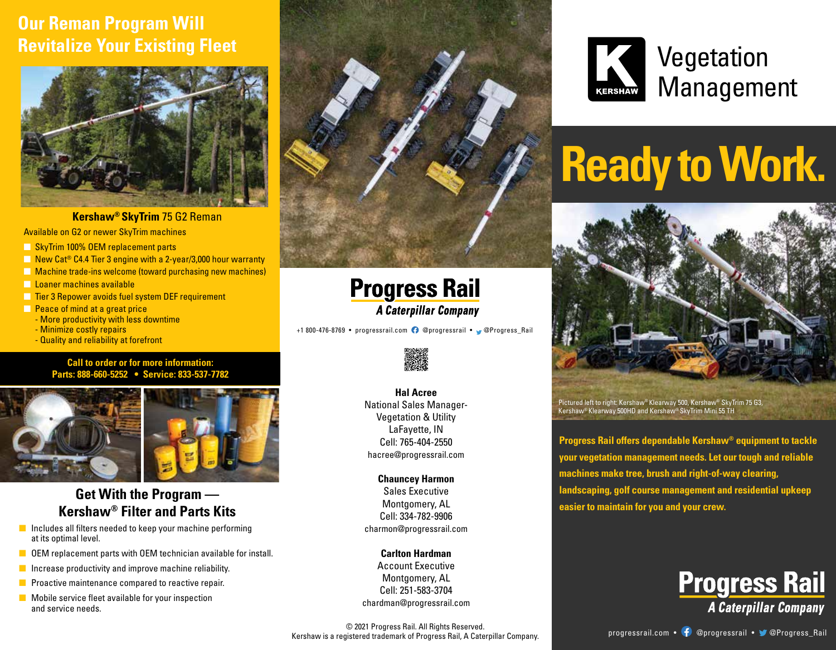## **Our Reman Program Will Revitalize Your Existing Fleet**



Available on G2 or newer SkyTrim machines **Kershaw® SkyTrim** 75 G2 Reman

**n** SkyTrim 100% OEM replacement parts

- $\Box$  New Cat<sup>®</sup> C4.4 Tier 3 engine with a 2-year/3,000 hour warranty
- **n** Machine trade-ins welcome (toward purchasing new machines)
- **n** Loaner machines available
- **n** Tier 3 Repower avoids fuel system DEF requirement
- **n** Peace of mind at a great price
	- More productivity with less downtime
	- Minimize costly repairs
	- Quality and reliability at forefront

#### **Call to order or for more information: Parts: 888-660-5252 • Service: 833-537-7782**



#### **Get With the Program — Kershaw® Filter and Parts Kits**

- $\blacksquare$  Includes all filters needed to keep your machine performing at its optimal level.
- $\blacksquare$  OEM replacement parts with OEM technician available for install.
- $\blacksquare$  Increase productivity and improve machine reliability.
- $\blacksquare$  Proactive maintenance compared to reactive repair.
- $\blacksquare$  Mobile service fleet available for your inspection and service needs.



**Progress Rail A Caterpillar Company** 

+1 800-476-8769 • progressrail.com **@** @progressrail • @ @Progress Rail



#### **Hal Acree**

National Sales Manager-Vegetation & Utility LaFayette, IN Cell: 765-404-2550 hacree@progressrail.com

**Chauncey Harmon** Sales Executive Montgomery, AL Cell: 334-782-9906 charmon@progressrail.com

#### **Carlton Hardman**

Account Executive Montgomery, AL Cell: 251-583-3704 chardman@progressrail.com **Vegetation** Management

# **Ready to Work.**



Pictured left to right: Kershaw® Klearway 500, Kershaw® SkyTrim 75 G3, Kershaw® Klearway 500HD and Kershaw® SkyTrim Mini 55 TH

**Progress Rail offers dependable Kershaw® equipment to tackle your vegetation management needs. Let our tough and reliable machines make tree, brush and right-of-way clearing, landscaping, golf course management and residential upkeep easier to maintain for you and your crew.**



© 2021 Progress Rail. All Rights Reserved.<br>Progressrail of Progress Rail & Caternillar Company entity Progressrail.com • († @progressrail • ) @Progress\_Rail Kershaw is a registered trademark of Progress Rail, A Caterpillar Company.